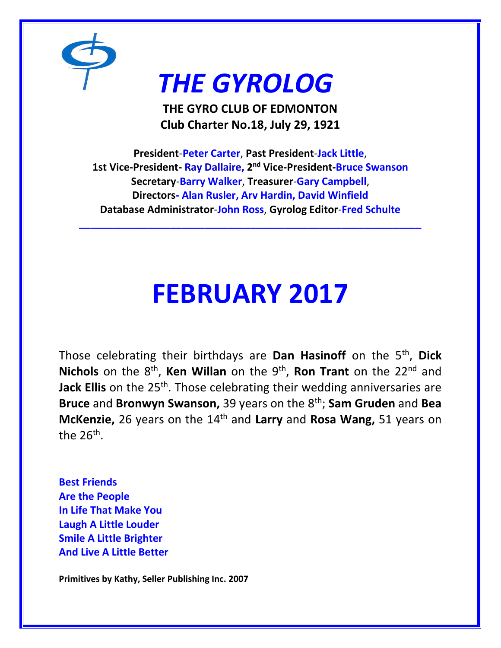

# *THE GYROLOG*

**THE GYRO CLUB OF EDMONTON Club Charter No.18, July 29, 1921**

**President**-**Peter Carter**, **Past President**-**Jack Little**, **1st Vice-President- Ray Dallaire, 2 nd Vice-President-Bruce Swanson Secretary**-**Barry Walker**, **Treasurer**-**Gary Campbell**, **Directors- Alan Rusler, Arv Hardin, David Winfield Database Administrator**-**John Ross**, **Gyrolog Editor**-**Fred Schulte**

**\_\_\_\_\_\_\_\_\_\_\_\_\_\_\_\_\_\_\_\_\_\_\_\_\_\_\_\_\_\_\_\_\_\_\_\_\_\_\_\_\_\_\_\_\_\_\_\_\_\_\_\_\_\_\_\_\_\_\_\_**

# **FEBRUARY 2017**

Those celebrating their birthdays are **Dan Hasinoff** on the 5th , **Dick**  Nichols on the 8<sup>th</sup>, Ken Willan on the 9<sup>th</sup>, Ron Trant on the 22<sup>nd</sup> and **Jack Ellis** on the 25<sup>th</sup>. Those celebrating their wedding anniversaries are **Bruce** and **Bronwyn Swanson,** 39 years on the 8th; **Sam Gruden** and **Bea McKenzie,** 26 years on the 14th and **Larry** and **Rosa Wang,** 51 years on the 26<sup>th</sup>.

**Best Friends Are the People In Life That Make You Laugh A Little Louder Smile A Little Brighter And Live A Little Better**

**Primitives by Kathy, Seller Publishing Inc. 2007**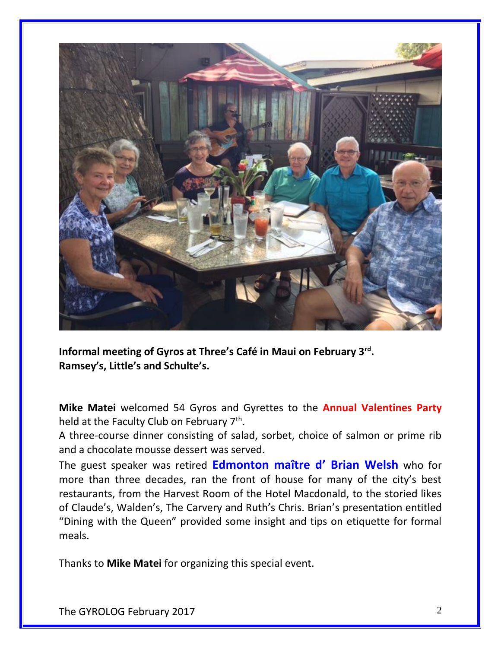

**Informal meeting of Gyros at Three's Café in Maui on February 3rd . Ramsey's, Little's and Schulte's.**

**Mike Matei** welcomed 54 Gyros and Gyrettes to the **Annual Valentines Party** held at the Faculty Club on February 7<sup>th</sup>.

A three-course dinner consisting of salad, sorbet, choice of salmon or prime rib and a chocolate mousse dessert was served.

The guest speaker was retired **Edmonton maître d' Brian Welsh** who for more than three decades, ran the front of house for many of the city's best restaurants, from the Harvest Room of the Hotel Macdonald, to the storied likes of Claude's, Walden's, The Carvery and Ruth's Chris. Brian's presentation entitled "Dining with the Queen" provided some insight and tips on etiquette for formal meals.

Thanks to **Mike Matei** for organizing this special event.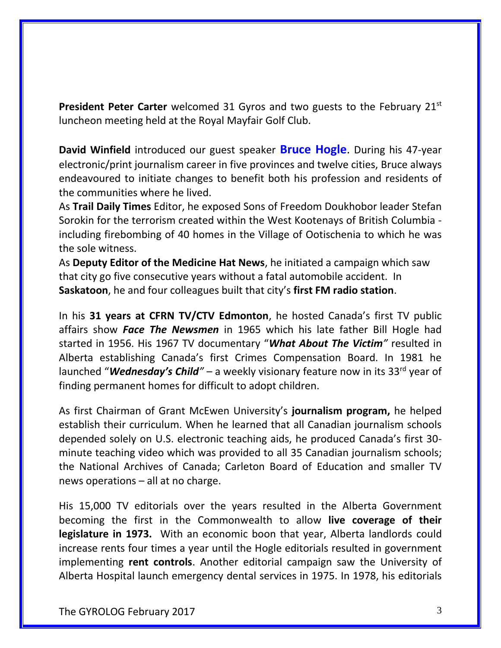**President Peter Carter** welcomed 31 Gyros and two guests to the February 21<sup>st</sup> luncheon meeting held at the Royal Mayfair Golf Club.

**David Winfield** introduced our guest speaker **Bruce Hogle**. During his 47-year electronic/print journalism career in five provinces and twelve cities, Bruce always endeavoured to initiate changes to benefit both his profession and residents of the communities where he lived.

As **Trail Daily Times** Editor, he exposed Sons of Freedom Doukhobor leader Stefan Sorokin for the terrorism created within the West Kootenays of British Columbia including firebombing of 40 homes in the Village of Ootischenia to which he was the sole witness.

As **Deputy Editor of the Medicine Hat News**, he initiated a campaign which saw that city go five consecutive years without a fatal automobile accident. In **Saskatoon**, he and four colleagues built that city's **first FM radio station**.

In his **31 years at CFRN TV/CTV Edmonton**, he hosted Canada's first TV public affairs show *Face The Newsmen* in 1965 which his late father Bill Hogle had started in 1956. His 1967 TV documentary "*What About The Victim"* resulted in Alberta establishing Canada's first Crimes Compensation Board. In 1981 he launched "*Wednesday's Child*" – a weekly visionary feature now in its 33<sup>rd</sup> year of finding permanent homes for difficult to adopt children.

As first Chairman of Grant McEwen University's **journalism program,** he helped establish their curriculum. When he learned that all Canadian journalism schools depended solely on U.S. electronic teaching aids, he produced Canada's first 30 minute teaching video which was provided to all 35 Canadian journalism schools; the National Archives of Canada; Carleton Board of Education and smaller TV news operations – all at no charge.

His 15,000 TV editorials over the years resulted in the Alberta Government becoming the first in the Commonwealth to allow **live coverage of their legislature in 1973.** With an economic boon that year, Alberta landlords could increase rents four times a year until the Hogle editorials resulted in government implementing **rent controls**. Another editorial campaign saw the University of Alberta Hospital launch emergency dental services in 1975. In 1978, his editorials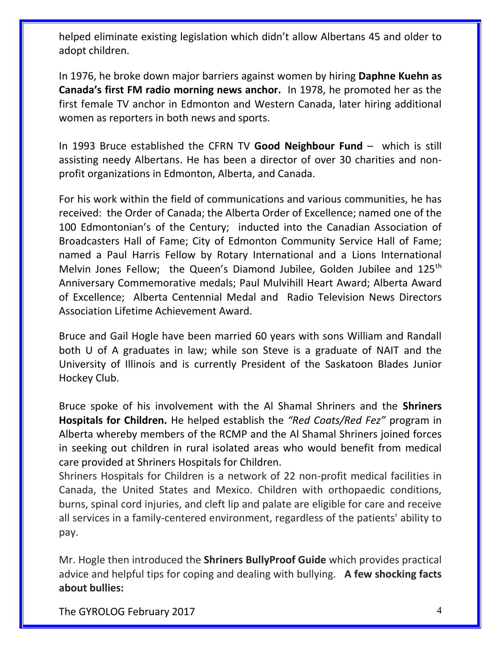helped eliminate existing legislation which didn't allow Albertans 45 and older to adopt children.

In 1976, he broke down major barriers against women by hiring **Daphne Kuehn as Canada's first FM radio morning news anchor.** In 1978, he promoted her as the first female TV anchor in Edmonton and Western Canada, later hiring additional women as reporters in both news and sports.

In 1993 Bruce established the CFRN TV **Good Neighbour Fund** – which is still assisting needy Albertans. He has been a director of over 30 charities and nonprofit organizations in Edmonton, Alberta, and Canada.

For his work within the field of communications and various communities, he has received: the Order of Canada; the Alberta Order of Excellence; named one of the 100 Edmontonian's of the Century; inducted into the Canadian Association of Broadcasters Hall of Fame; City of Edmonton Community Service Hall of Fame; named a Paul Harris Fellow by Rotary International and a Lions International Melvin Jones Fellow; the Queen's Diamond Jubilee, Golden Jubilee and 125<sup>th</sup> Anniversary Commemorative medals; Paul Mulvihill Heart Award; Alberta Award of Excellence; Alberta Centennial Medal and Radio Television News Directors Association Lifetime Achievement Award.

Bruce and Gail Hogle have been married 60 years with sons William and Randall both U of A graduates in law; while son Steve is a graduate of NAIT and the University of Illinois and is currently President of the Saskatoon Blades Junior Hockey Club.

Bruce spoke of his involvement with the Al Shamal Shriners and the **Shriners Hospitals for Children.** He helped establish the *"Red Coats/Red Fez"* program in Alberta whereby members of the RCMP and the Al Shamal Shriners joined forces in seeking out children in rural isolated areas who would benefit from medical care provided at Shriners Hospitals for Children.

Shriners Hospitals for Children is a network of 22 non-profit medical facilities in Canada, the United States and Mexico. Children with orthopaedic conditions, burns, spinal cord injuries, and cleft lip and palate are eligible for care and receive all services in a family-centered environment, regardless of the patients' ability to pay.

Mr. Hogle then introduced the **Shriners BullyProof Guide** which provides practical advice and helpful tips for coping and dealing with bullying. **A few shocking facts about bullies:**

The GYROLOG February 2017 4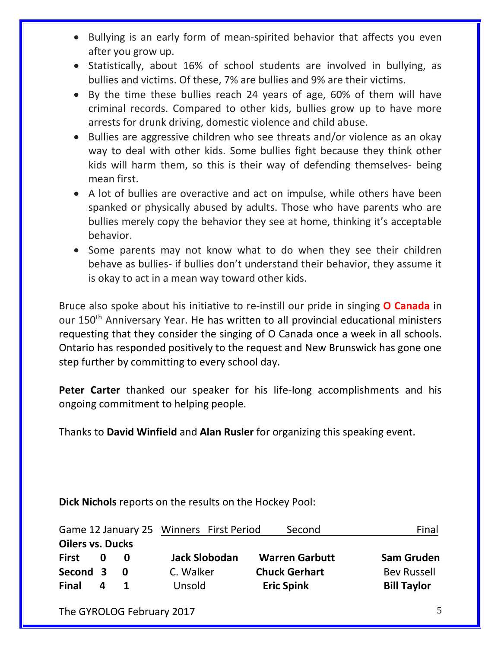- Bullying is an early form of mean-spirited behavior that affects you even after you grow up.
- Statistically, about 16% of school students are involved in bullying, as bullies and victims. Of these, 7% are bullies and 9% are their victims.
- By the time these bullies reach 24 years of age, 60% of them will have criminal records. Compared to other kids, bullies grow up to have more arrests for drunk driving, domestic violence and child abuse.
- Bullies are aggressive children who see threats and/or violence as an okay way to deal with other kids. Some bullies fight because they think other kids will harm them, so this is their way of defending themselves- being mean first.
- A lot of bullies are overactive and act on impulse, while others have been spanked or physically abused by adults. Those who have parents who are bullies merely copy the behavior they see at home, thinking it's acceptable behavior.
- Some parents may not know what to do when they see their children behave as bullies- if bullies don't understand their behavior, they assume it is okay to act in a mean way toward other kids.

Bruce also spoke about his initiative to re-instill our pride in singing **O Canada** in our 150<sup>th</sup> Anniversary Year. He has written to all provincial educational ministers requesting that they consider the singing of O Canada once a week in all schools. Ontario has responded positively to the request and New Brunswick has gone one step further by committing to every school day.

**Peter Carter** thanked our speaker for his life-long accomplishments and his ongoing commitment to helping people.

Thanks to **David Winfield** and **Alan Rusler** for organizing this speaking event.

**Dick Nichols** reports on the results on the Hockey Pool:

| Game 12 January 25 Winners First Period |   |     |                      | Second                | Final              |
|-----------------------------------------|---|-----|----------------------|-----------------------|--------------------|
| <b>Oilers vs. Ducks</b>                 |   |     |                      |                       |                    |
| <b>First</b>                            | 0 | n   | <b>Jack Slobodan</b> | <b>Warren Garbutt</b> | <b>Sam Gruden</b>  |
| Second 3                                |   | - 0 | C. Walker            | <b>Chuck Gerhart</b>  | <b>Bev Russell</b> |
| <b>Final</b>                            | Δ |     | Unsold               | <b>Eric Spink</b>     | <b>Bill Taylor</b> |

The GYROLOG February 2017 5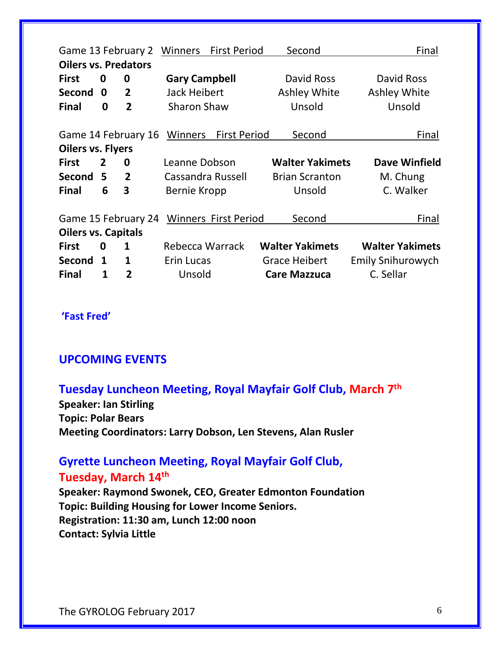| Second<br>Game 13 February 2<br>Winners<br><b>First Period</b><br>Final<br><b>Oilers vs. Predators</b> |                |                     |                                      |                             |                                   |                                   |  |  |  |  |
|--------------------------------------------------------------------------------------------------------|----------------|---------------------|--------------------------------------|-----------------------------|-----------------------------------|-----------------------------------|--|--|--|--|
| <b>First</b><br><b>Second</b>                                                                          | 0<br>0         | 0<br>$\overline{2}$ | <b>Gary Campbell</b><br>Jack Heibert |                             | David Ross<br><b>Ashley White</b> | David Ross<br><b>Ashley White</b> |  |  |  |  |
| <b>Final</b>                                                                                           | 0              | $\overline{2}$      | <b>Sharon Shaw</b>                   |                             | Unsold                            | Unsold                            |  |  |  |  |
|                                                                                                        |                | Game 14 February 16 |                                      | Winners First Period        | Second                            | Final                             |  |  |  |  |
| <b>Oilers vs. Flyers</b>                                                                               |                |                     |                                      |                             |                                   |                                   |  |  |  |  |
| <b>First</b>                                                                                           | $\overline{2}$ | 0                   | Leanne Dobson                        |                             | <b>Walter Yakimets</b>            | <b>Dave Winfield</b>              |  |  |  |  |
| Second 5                                                                                               |                | $\overline{2}$      | Cassandra Russell                    |                             | <b>Brian Scranton</b>             | M. Chung                          |  |  |  |  |
| <b>Final</b>                                                                                           | 6              | 3                   | <b>Bernie Kropp</b>                  |                             | Unsold                            | C. Walker                         |  |  |  |  |
|                                                                                                        |                | Game 15 February 24 |                                      | <b>Winners First Period</b> | Second                            | Final                             |  |  |  |  |
| <b>Oilers vs. Capitals</b>                                                                             |                |                     |                                      |                             |                                   |                                   |  |  |  |  |
| <b>First</b>                                                                                           | 0              | $\mathbf{1}$        | Rebecca Warrack                      |                             | <b>Walter Yakimets</b>            | <b>Walter Yakimets</b>            |  |  |  |  |
| Second                                                                                                 | 1              | 1                   | Erin Lucas                           |                             | <b>Grace Heibert</b>              | <b>Emily Snihurowych</b>          |  |  |  |  |
| <b>Final</b>                                                                                           | 1              | 2                   | Unsold                               |                             | <b>Care Mazzuca</b>               | C. Sellar                         |  |  |  |  |

#### **'Fast Fred'**

#### **UPCOMING EVENTS**

### **Tuesday Luncheon Meeting, Royal Mayfair Golf Club, March 7th**

**Speaker: Ian Stirling Topic: Polar Bears Meeting Coordinators: Larry Dobson, Len Stevens, Alan Rusler**

## **Gyrette Luncheon Meeting, Royal Mayfair Golf Club,**

### **Tuesday, March 14th**

**Speaker: Raymond Swonek, CEO, Greater Edmonton Foundation Topic: Building Housing for Lower Income Seniors. Registration: 11:30 am, Lunch 12:00 noon Contact: Sylvia Little**